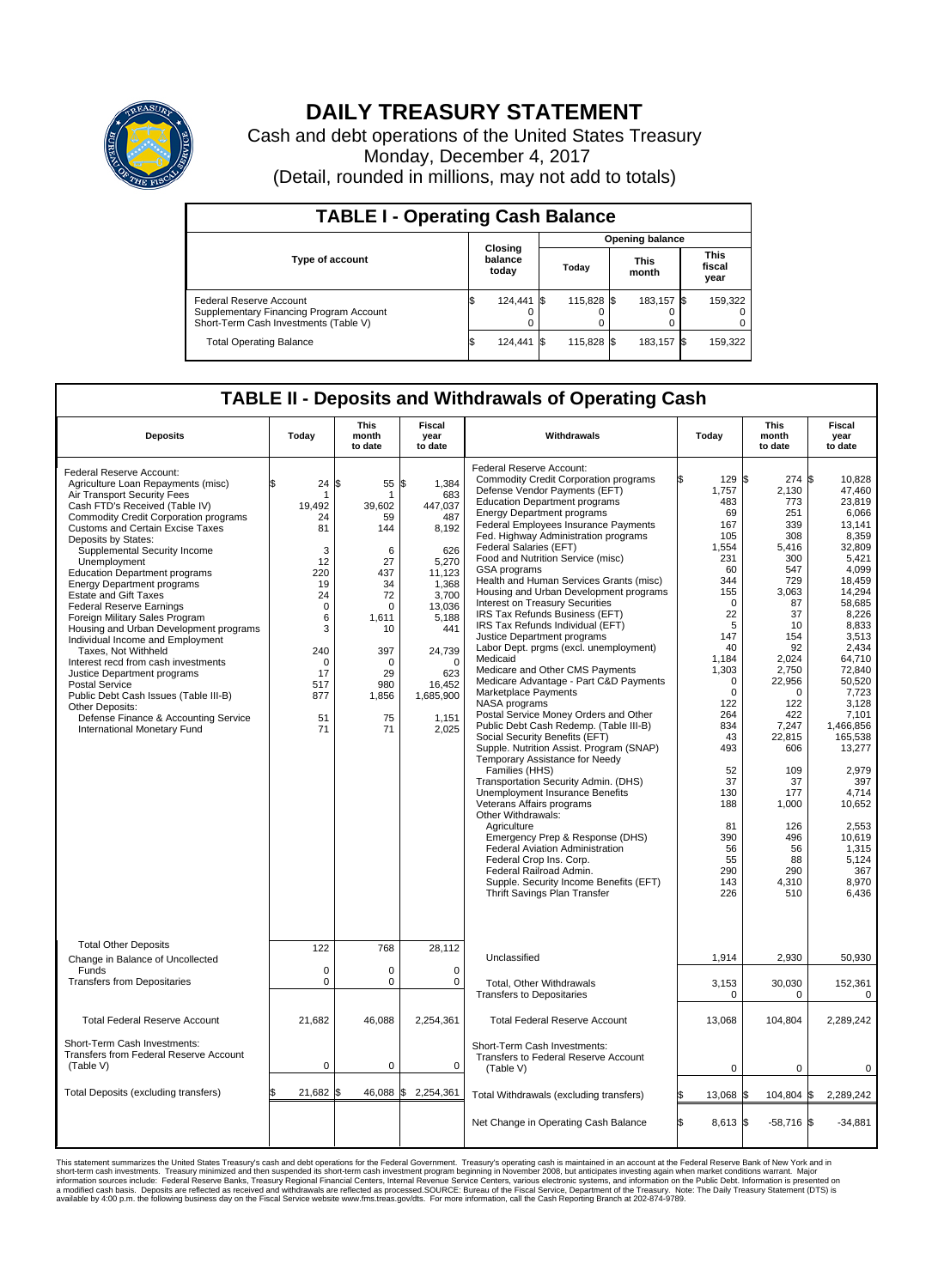

## **DAILY TREASURY STATEMENT**

Cash and debt operations of the United States Treasury Monday, December 4, 2017 (Detail, rounded in millions, may not add to totals)

| <b>TABLE I - Operating Cash Balance</b>                                                                     |    |                             |  |                        |  |                      |  |                               |  |  |  |
|-------------------------------------------------------------------------------------------------------------|----|-----------------------------|--|------------------------|--|----------------------|--|-------------------------------|--|--|--|
|                                                                                                             |    | Closing<br>balance<br>today |  | <b>Opening balance</b> |  |                      |  |                               |  |  |  |
| <b>Type of account</b>                                                                                      |    |                             |  | Today                  |  | <b>This</b><br>month |  | <b>This</b><br>fiscal<br>year |  |  |  |
| Federal Reserve Account<br>Supplementary Financing Program Account<br>Short-Term Cash Investments (Table V) |    | 124,441 \$                  |  | 115.828 \$             |  | 183.157 \$           |  | 159,322                       |  |  |  |
| <b>Total Operating Balance</b>                                                                              | ıъ | 124,441 \$                  |  | 115,828 \$             |  | 183,157 \$           |  | 159,322                       |  |  |  |

## **TABLE II - Deposits and Withdrawals of Operating Cash**

| <b>Deposits</b>                                                                                                                                                                                                                                                                                                                                                                                                                                                                                                                                                                                                                                                                                                                                                                                                     | Today                                                                                                                                             | <b>This</b><br>month<br>to date                                                                                                        | <b>Fiscal</b><br>year<br>to date                                                                                                                                                             | Withdrawals                                                                                                                                                                                                                                                                                                                                                                                                                                                                                                                                                                                                                                                                                                                                                                                                                                                                                                                                                                                                                                                                                                                                                                                                                                                                                                                                          | Today                                                                                                                                                                                                                                                                      | <b>This</b><br>month<br>to date                                                                                                                                                                                                                                                   | Fiscal<br>year<br>to date                                                                                                                                                                                                                                                                                                                        |
|---------------------------------------------------------------------------------------------------------------------------------------------------------------------------------------------------------------------------------------------------------------------------------------------------------------------------------------------------------------------------------------------------------------------------------------------------------------------------------------------------------------------------------------------------------------------------------------------------------------------------------------------------------------------------------------------------------------------------------------------------------------------------------------------------------------------|---------------------------------------------------------------------------------------------------------------------------------------------------|----------------------------------------------------------------------------------------------------------------------------------------|----------------------------------------------------------------------------------------------------------------------------------------------------------------------------------------------|------------------------------------------------------------------------------------------------------------------------------------------------------------------------------------------------------------------------------------------------------------------------------------------------------------------------------------------------------------------------------------------------------------------------------------------------------------------------------------------------------------------------------------------------------------------------------------------------------------------------------------------------------------------------------------------------------------------------------------------------------------------------------------------------------------------------------------------------------------------------------------------------------------------------------------------------------------------------------------------------------------------------------------------------------------------------------------------------------------------------------------------------------------------------------------------------------------------------------------------------------------------------------------------------------------------------------------------------------|----------------------------------------------------------------------------------------------------------------------------------------------------------------------------------------------------------------------------------------------------------------------------|-----------------------------------------------------------------------------------------------------------------------------------------------------------------------------------------------------------------------------------------------------------------------------------|--------------------------------------------------------------------------------------------------------------------------------------------------------------------------------------------------------------------------------------------------------------------------------------------------------------------------------------------------|
| Federal Reserve Account:<br>Agriculture Loan Repayments (misc)<br>Air Transport Security Fees<br>Cash FTD's Received (Table IV)<br>Commodity Credit Corporation programs<br><b>Customs and Certain Excise Taxes</b><br>Deposits by States:<br>Supplemental Security Income<br>Unemployment<br><b>Education Department programs</b><br><b>Energy Department programs</b><br><b>Estate and Gift Taxes</b><br><b>Federal Reserve Earnings</b><br>Foreign Military Sales Program<br>Housing and Urban Development programs<br>Individual Income and Employment<br>Taxes, Not Withheld<br>Interest recd from cash investments<br>Justice Department programs<br><b>Postal Service</b><br>Public Debt Cash Issues (Table III-B)<br>Other Deposits:<br>Defense Finance & Accounting Service<br>International Monetary Fund | 24<br>\$.<br>1<br>19,492<br>24<br>81<br>3<br>12<br>220<br>19<br>24<br>$\mathbf 0$<br>6<br>3<br>240<br>$\mathbf 0$<br>17<br>517<br>877<br>51<br>71 | \$<br>55<br>39,602<br>59<br>144<br>6<br>27<br>437<br>34<br>72<br>0<br>1,611<br>10<br>397<br>$\Omega$<br>29<br>980<br>1,856<br>75<br>71 | \$<br>1,384<br>683<br>447,037<br>487<br>8,192<br>626<br>5,270<br>11,123<br>1,368<br>3,700<br>13,036<br>5,188<br>441<br>24,739<br>$\mathbf 0$<br>623<br>16,452<br>1,685,900<br>1,151<br>2,025 | Federal Reserve Account:<br><b>Commodity Credit Corporation programs</b><br>Defense Vendor Payments (EFT)<br><b>Education Department programs</b><br><b>Energy Department programs</b><br><b>Federal Employees Insurance Payments</b><br>Fed. Highway Administration programs<br>Federal Salaries (EFT)<br>Food and Nutrition Service (misc)<br><b>GSA</b> programs<br>Health and Human Services Grants (misc)<br>Housing and Urban Development programs<br>Interest on Treasury Securities<br>IRS Tax Refunds Business (EFT)<br>IRS Tax Refunds Individual (EFT)<br>Justice Department programs<br>Labor Dept. prgms (excl. unemployment)<br>Medicaid<br>Medicare and Other CMS Payments<br>Medicare Advantage - Part C&D Payments<br>Marketplace Payments<br>NASA programs<br>Postal Service Money Orders and Other<br>Public Debt Cash Redemp. (Table III-B)<br>Social Security Benefits (EFT)<br>Supple. Nutrition Assist. Program (SNAP)<br>Temporary Assistance for Needy<br>Families (HHS)<br>Transportation Security Admin. (DHS)<br>Unemployment Insurance Benefits<br>Veterans Affairs programs<br>Other Withdrawals:<br>Agriculture<br>Emergency Prep & Response (DHS)<br>Federal Aviation Administration<br>Federal Crop Ins. Corp.<br>Federal Railroad Admin.<br>Supple. Security Income Benefits (EFT)<br>Thrift Savings Plan Transfer | 129S<br>1,757<br>483<br>69<br>167<br>105<br>1,554<br>231<br>60<br>344<br>155<br>$\Omega$<br>22<br>5<br>147<br>40<br>1,184<br>1,303<br>$\mathbf 0$<br>$\mathbf 0$<br>122<br>264<br>834<br>43<br>493<br>52<br>37<br>130<br>188<br>81<br>390<br>56<br>55<br>290<br>143<br>226 | $274$ \$<br>2,130<br>773<br>251<br>339<br>308<br>5,416<br>300<br>547<br>729<br>3,063<br>87<br>37<br>10<br>154<br>92<br>2,024<br>2,750<br>22,956<br>$\Omega$<br>122<br>422<br>7,247<br>22.815<br>606<br>109<br>37<br>177<br>1,000<br>126<br>496<br>56<br>88<br>290<br>4,310<br>510 | 10.828<br>47.460<br>23,819<br>6,066<br>13,141<br>8.359<br>32,809<br>5.421<br>4.099<br>18,459<br>14,294<br>58,685<br>8.226<br>8,833<br>3,513<br>2,434<br>64,710<br>72,840<br>50,520<br>7,723<br>3,128<br>7,101<br>1.466.856<br>165.538<br>13,277<br>2,979<br>397<br>4,714<br>10,652<br>2,553<br>10.619<br>1,315<br>5,124<br>367<br>8,970<br>6.436 |
| <b>Total Other Deposits</b><br>Change in Balance of Uncollected                                                                                                                                                                                                                                                                                                                                                                                                                                                                                                                                                                                                                                                                                                                                                     | 122                                                                                                                                               | 768                                                                                                                                    | 28,112                                                                                                                                                                                       | Unclassified                                                                                                                                                                                                                                                                                                                                                                                                                                                                                                                                                                                                                                                                                                                                                                                                                                                                                                                                                                                                                                                                                                                                                                                                                                                                                                                                         | 1,914                                                                                                                                                                                                                                                                      | 2,930                                                                                                                                                                                                                                                                             | 50,930                                                                                                                                                                                                                                                                                                                                           |
| Funds<br><b>Transfers from Depositaries</b>                                                                                                                                                                                                                                                                                                                                                                                                                                                                                                                                                                                                                                                                                                                                                                         | $\mathbf 0$<br>$\mathbf 0$                                                                                                                        | 0<br>0                                                                                                                                 | $\mathbf 0$<br>$\mathbf 0$                                                                                                                                                                   | Total, Other Withdrawals<br><b>Transfers to Depositaries</b>                                                                                                                                                                                                                                                                                                                                                                                                                                                                                                                                                                                                                                                                                                                                                                                                                                                                                                                                                                                                                                                                                                                                                                                                                                                                                         | 3,153<br>$\mathbf 0$                                                                                                                                                                                                                                                       | 30,030<br>0                                                                                                                                                                                                                                                                       | 152,361<br>$\mathbf 0$                                                                                                                                                                                                                                                                                                                           |
| <b>Total Federal Reserve Account</b>                                                                                                                                                                                                                                                                                                                                                                                                                                                                                                                                                                                                                                                                                                                                                                                | 21,682                                                                                                                                            | 46,088                                                                                                                                 | 2,254,361                                                                                                                                                                                    | <b>Total Federal Reserve Account</b>                                                                                                                                                                                                                                                                                                                                                                                                                                                                                                                                                                                                                                                                                                                                                                                                                                                                                                                                                                                                                                                                                                                                                                                                                                                                                                                 | 13,068                                                                                                                                                                                                                                                                     | 104,804                                                                                                                                                                                                                                                                           | 2,289,242                                                                                                                                                                                                                                                                                                                                        |
| Short-Term Cash Investments:<br>Transfers from Federal Reserve Account<br>(Table V)                                                                                                                                                                                                                                                                                                                                                                                                                                                                                                                                                                                                                                                                                                                                 | $\pmb{0}$                                                                                                                                         | 0                                                                                                                                      | $\mathbf 0$                                                                                                                                                                                  | Short-Term Cash Investments:<br>Transfers to Federal Reserve Account<br>(Table V)                                                                                                                                                                                                                                                                                                                                                                                                                                                                                                                                                                                                                                                                                                                                                                                                                                                                                                                                                                                                                                                                                                                                                                                                                                                                    | $\mathbf 0$                                                                                                                                                                                                                                                                | $\Omega$                                                                                                                                                                                                                                                                          | $\Omega$                                                                                                                                                                                                                                                                                                                                         |
| Total Deposits (excluding transfers)                                                                                                                                                                                                                                                                                                                                                                                                                                                                                                                                                                                                                                                                                                                                                                                | 21,682<br>\$                                                                                                                                      | 46,088<br>ß.                                                                                                                           | \$<br>2,254,361                                                                                                                                                                              | Total Withdrawals (excluding transfers)                                                                                                                                                                                                                                                                                                                                                                                                                                                                                                                                                                                                                                                                                                                                                                                                                                                                                                                                                                                                                                                                                                                                                                                                                                                                                                              | ß.<br>13,068 \$                                                                                                                                                                                                                                                            | 104,804 \$                                                                                                                                                                                                                                                                        | 2,289,242                                                                                                                                                                                                                                                                                                                                        |
|                                                                                                                                                                                                                                                                                                                                                                                                                                                                                                                                                                                                                                                                                                                                                                                                                     |                                                                                                                                                   |                                                                                                                                        |                                                                                                                                                                                              | Net Change in Operating Cash Balance                                                                                                                                                                                                                                                                                                                                                                                                                                                                                                                                                                                                                                                                                                                                                                                                                                                                                                                                                                                                                                                                                                                                                                                                                                                                                                                 | Ŝ.<br>$8.613$ $\sqrt{5}$                                                                                                                                                                                                                                                   | $-58,716$ \$                                                                                                                                                                                                                                                                      | $-34,881$                                                                                                                                                                                                                                                                                                                                        |

This statement summarizes the United States Treasury's cash and debt operations for the Federal Government. Treasury soperating in November 2008, but anticiarded in a cocount at the Federal Reserve Bank of New York and in<br>